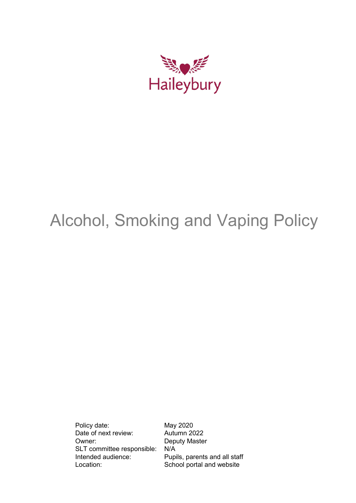

# Alcohol, Smoking and Vaping Policy

Policy date: May 2020 Date of next review: Autumn 2022 Owner: Deputy Master SLT committee responsible: N/A<br>Intended audience: Pup Location: School portal and website

Pupils, parents and all staff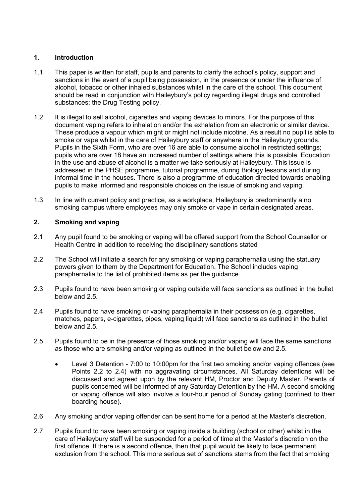## **1. Introduction**

- 1.1 This paper is written for staff, pupils and parents to clarify the school's policy, support and sanctions in the event of a pupil being possession, in the presence or under the influence of alcohol, tobacco or other inhaled substances whilst in the care of the school. This document should be read in conjunction with Haileybury's policy regarding illegal drugs and controlled substances: the Drug Testing policy.
- 1.2 It is illegal to sell alcohol, cigarettes and vaping devices to minors. For the purpose of this document vaping refers to inhalation and/or the exhalation from an electronic or similar device. These produce a vapour which might or might not include nicotine. As a result no pupil is able to smoke or vape whilst in the care of Haileybury staff or anywhere in the Haileybury grounds. Pupils in the Sixth Form, who are over 16 are able to consume alcohol in restricted settings; pupils who are over 18 have an increased number of settings where this is possible. Education in the use and abuse of alcohol is a matter we take seriously at Haileybury. This issue is addressed in the PHSE programme, tutorial programme, during Biology lessons and during informal time in the houses. There is also a programme of education directed towards enabling pupils to make informed and responsible choices on the issue of smoking and vaping.
- 1.3 In line with current policy and practice, as a workplace, Haileybury is predominantly a no smoking campus where employees may only smoke or vape in certain designated areas.

# **2. Smoking and vaping**

- 2.1 Any pupil found to be smoking or vaping will be offered support from the School Counsellor or Health Centre in addition to receiving the disciplinary sanctions stated
- 2.2 The School will initiate a search for any smoking or vaping paraphernalia using the statuary powers given to them by the Department for Education. The School includes vaping paraphernalia to the list of prohibited items as per the guidance.
- 2.3 Pupils found to have been smoking or vaping outside will face sanctions as outlined in the bullet below and 2.5.
- 2.4 Pupils found to have smoking or vaping paraphernalia in their possession (e.g. cigarettes, matches, papers, e-cigarettes, pipes, vaping liquid) will face sanctions as outlined in the bullet below and 2.5.
- 2.5 Pupils found to be in the presence of those smoking and/or vaping will face the same sanctions as those who are smoking and/or vaping as outlined in the bullet below and 2.5.
	- Level 3 Detention 7:00 to 10:00pm for the first two smoking and/or vaping offences (see Points 2.2 to 2.4) with no aggravating circumstances. All Saturday detentions will be discussed and agreed upon by the relevant HM, Proctor and Deputy Master. Parents of pupils concerned will be informed of any Saturday Detention by the HM. A second smoking or vaping offence will also involve a four-hour period of Sunday gating (confined to their boarding house).
- 2.6 Any smoking and/or vaping offender can be sent home for a period at the Master's discretion.
- 2.7 Pupils found to have been smoking or vaping inside a building (school or other) whilst in the care of Haileybury staff will be suspended for a period of time at the Master's discretion on the first offence. If there is a second offence, then that pupil would be likely to face permanent exclusion from the school. This more serious set of sanctions stems from the fact that smoking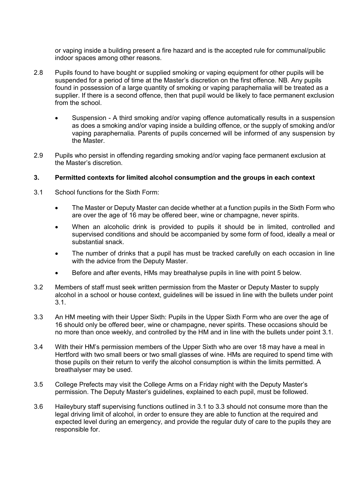or vaping inside a building present a fire hazard and is the accepted rule for communal/public indoor spaces among other reasons.

- 2.8 Pupils found to have bought or supplied smoking or vaping equipment for other pupils will be suspended for a period of time at the Master's discretion on the first offence. NB. Any pupils found in possession of a large quantity of smoking or vaping paraphernalia will be treated as a supplier. If there is a second offence, then that pupil would be likely to face permanent exclusion from the school.
	- Suspension A third smoking and/or vaping offence automatically results in a suspension as does a smoking and/or vaping inside a building offence, or the supply of smoking and/or vaping paraphernalia. Parents of pupils concerned will be informed of any suspension by the Master.
- 2.9 Pupils who persist in offending regarding smoking and/or vaping face permanent exclusion at the Master's discretion.

#### **3. Permitted contexts for limited alcohol consumption and the groups in each context**

- 3.1 School functions for the Sixth Form:
	- The Master or Deputy Master can decide whether at a function pupils in the Sixth Form who are over the age of 16 may be offered beer, wine or champagne, never spirits.
	- When an alcoholic drink is provided to pupils it should be in limited, controlled and supervised conditions and should be accompanied by some form of food, ideally a meal or substantial snack.
	- The number of drinks that a pupil has must be tracked carefully on each occasion in line with the advice from the Deputy Master.
	- Before and after events, HMs may breathalyse pupils in line with point 5 below.
- 3.2 Members of staff must seek written permission from the Master or Deputy Master to supply alcohol in a school or house context, guidelines will be issued in line with the bullets under point 3.1.
- 3.3 An HM meeting with their Upper Sixth: Pupils in the Upper Sixth Form who are over the age of 16 should only be offered beer, wine or champagne, never spirits. These occasions should be no more than once weekly, and controlled by the HM and in line with the bullets under point 3.1.
- 3.4 With their HM's permission members of the Upper Sixth who are over 18 may have a meal in Hertford with two small beers or two small glasses of wine. HMs are required to spend time with those pupils on their return to verify the alcohol consumption is within the limits permitted. A breathalyser may be used.
- 3.5 College Prefects may visit the College Arms on a Friday night with the Deputy Master's permission. The Deputy Master's guidelines, explained to each pupil, must be followed.
- 3.6 Haileybury staff supervising functions outlined in 3.1 to 3.3 should not consume more than the legal driving limit of alcohol, in order to ensure they are able to function at the required and expected level during an emergency, and provide the regular duty of care to the pupils they are responsible for.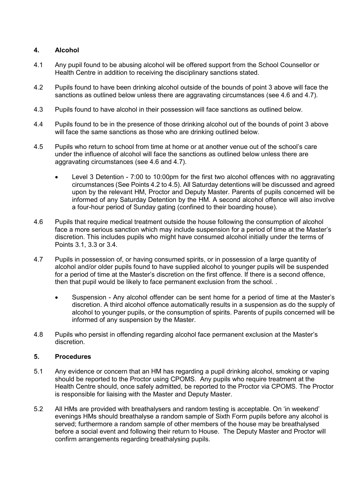# **4. Alcohol**

- 4.1 Any pupil found to be abusing alcohol will be offered support from the School Counsellor or Health Centre in addition to receiving the disciplinary sanctions stated.
- 4.2 Pupils found to have been drinking alcohol outside of the bounds of point 3 above will face the sanctions as outlined below unless there are aggravating circumstances (see 4.6 and 4.7).
- 4.3 Pupils found to have alcohol in their possession will face sanctions as outlined below.
- 4.4 Pupils found to be in the presence of those drinking alcohol out of the bounds of point 3 above will face the same sanctions as those who are drinking outlined below.
- 4.5 Pupils who return to school from time at home or at another venue out of the school's care under the influence of alcohol will face the sanctions as outlined below unless there are aggravating circumstances (see 4.6 and 4.7).
	- Level 3 Detention 7:00 to 10:00pm for the first two alcohol offences with no aggravating circumstances (See Points 4.2 to 4.5). All Saturday detentions will be discussed and agreed upon by the relevant HM, Proctor and Deputy Master. Parents of pupils concerned will be informed of any Saturday Detention by the HM. A second alcohol offence will also involve a four-hour period of Sunday gating (confined to their boarding house).
- 4.6 Pupils that require medical treatment outside the house following the consumption of alcohol face a more serious sanction which may include suspension for a period of time at the Master's discretion. This includes pupils who might have consumed alcohol initially under the terms of Points 3.1, 3.3 or 3.4.
- 4.7 Pupils in possession of, or having consumed spirits, or in possession of a large quantity of alcohol and/or older pupils found to have supplied alcohol to younger pupils will be suspended for a period of time at the Master's discretion on the first offence. If there is a second offence, then that pupil would be likely to face permanent exclusion from the school. .
	- Suspension Any alcohol offender can be sent home for a period of time at the Master's discretion. A third alcohol offence automatically results in a suspension as do the supply of alcohol to younger pupils, or the consumption of spirits. Parents of pupils concerned will be informed of any suspension by the Master.
- 4.8 Pupils who persist in offending regarding alcohol face permanent exclusion at the Master's discretion.

## **5. Procedures**

- 5.1 Any evidence or concern that an HM has regarding a pupil drinking alcohol, smoking or vaping should be reported to the Proctor using CPOMS. Any pupils who require treatment at the Health Centre should, once safely admitted, be reported to the Proctor via CPOMS. The Proctor is responsible for liaising with the Master and Deputy Master.
- 5.2 All HMs are provided with breathalysers and random testing is acceptable. On 'in weekend' evenings HMs should breathalyse a random sample of Sixth Form pupils before any alcohol is served; furthermore a random sample of other members of the house may be breathalysed before a social event and following their return to House. The Deputy Master and Proctor will confirm arrangements regarding breathalysing pupils.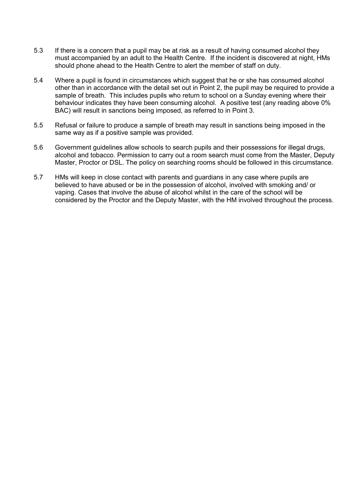- 5.3 If there is a concern that a pupil may be at risk as a result of having consumed alcohol they must accompanied by an adult to the Health Centre. If the incident is discovered at night, HMs should phone ahead to the Health Centre to alert the member of staff on duty.
- 5.4 Where a pupil is found in circumstances which suggest that he or she has consumed alcohol other than in accordance with the detail set out in Point 2, the pupil may be required to provide a sample of breath. This includes pupils who return to school on a Sunday evening where their behaviour indicates they have been consuming alcohol. A positive test (any reading above 0% BAC) will result in sanctions being imposed, as referred to in Point 3.
- 5.5 Refusal or failure to produce a sample of breath may result in sanctions being imposed in the same way as if a positive sample was provided.
- 5.6 Government guidelines allow schools to search pupils and their possessions for illegal drugs, alcohol and tobacco. Permission to carry out a room search must come from the Master, Deputy Master, Proctor or DSL. The policy on searching rooms should be followed in this circumstance.
- 5.7 HMs will keep in close contact with parents and guardians in any case where pupils are believed to have abused or be in the possession of alcohol, involved with smoking and/ or vaping. Cases that involve the abuse of alcohol whilst in the care of the school will be considered by the Proctor and the Deputy Master, with the HM involved throughout the process.